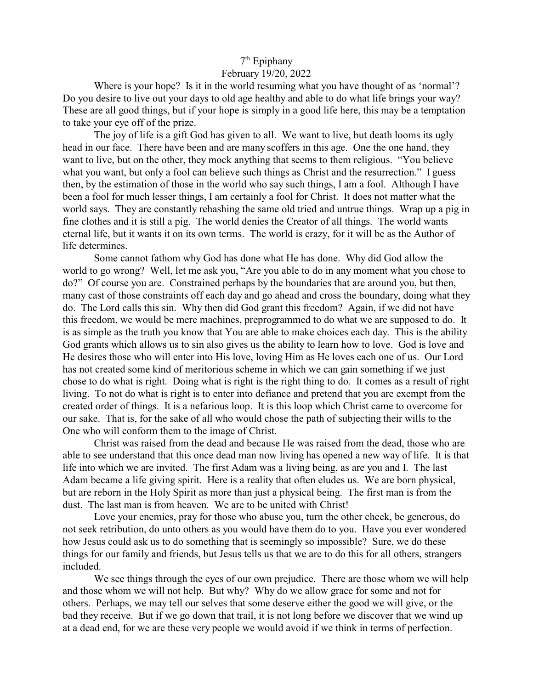## 7<sup>th</sup> Epiphany

## February 19/20, 2022

Where is your hope? Is it in the world resuming what you have thought of as 'normal'? Do you desire to live out your days to old age healthy and able to do what life brings your way? These are all good things, but if your hope is simply in a good life here, this may be a temptation to take your eye off of the prize.

The joy of life is a gift God has given to all. We want to live, but death looms its ugly head in our face. There have been and are many scoffers in this age. One the one hand, they want to live, but on the other, they mock anything that seems to them religious. "You believe what you want, but only a fool can believe such things as Christ and the resurrection." I guess then, by the estimation of those in the world who say such things, I am a fool. Although I have been a fool for much lesser things, I am certainly a fool for Christ. It does not matter what the world says. They are constantly rehashing the same old tried and untrue things. Wrap up a pig in fine clothes and it is still a pig. The world denies the Creator of all things. The world wants eternal life, but it wants it on its own terms. The world is crazy, for it will be as the Author of life determines.

Some cannot fathom why God has done what He has done. Why did God allow the world to go wrong? Well, let me ask you, "Are you able to do in any moment what you chose to do?" Of course you are. Constrained perhaps by the boundaries that are around you, but then, many cast of those constraints off each day and go ahead and cross the boundary, doing what they do. The Lord calls this sin. Why then did God grant this freedom? Again, if we did not have this freedom, we would be mere machines, preprogrammed to do what we are supposed to do. It is as simple as the truth you know that You are able to make choices each day. This is the ability God grants which allows us to sin also gives us the ability to learn how to love. God is love and He desires those who will enter into His love, loving Him as He loves each one of us. Our Lord has not created some kind of meritorious scheme in which we can gain something if we just chose to do what is right. Doing what is right is the right thing to do. It comes as a result of right living. To not do what is right is to enter into defiance and pretend that you are exempt from the created order of things. It is a nefarious loop. It is this loop which Christ came to overcome for our sake. That is, for the sake of all who would chose the path of subjecting their wills to the One who will conform them to the image of Christ.

Christ was raised from the dead and because He was raised from the dead, those who are able to see understand that this once dead man now living has opened a new way of life. It is that life into which we are invited. The first Adam was a living being, as are you and I. The last Adam became a life giving spirit. Here is a reality that often eludes us. We are born physical, but are reborn in the Holy Spirit as more than just a physical being. The first man is from the dust. The last man is from heaven. We are to be united with Christ!

Love your enemies, pray for those who abuse you, turn the other cheek, be generous, do not seek retribution, do unto others as you would have them do to you. Have you ever wondered how Jesus could ask us to do something that is seemingly so impossible? Sure, we do these things for our family and friends, but Jesus tells us that we are to do this for all others, strangers included.

We see things through the eyes of our own prejudice. There are those whom we will help and those whom we will not help. But why? Why do we allow grace for some and not for others. Perhaps, we may tell our selves that some deserve either the good we will give, or the bad they receive. But if we go down that trail, it is not long before we discover that we wind up at a dead end, for we are these very people we would avoid if we think in terms of perfection.